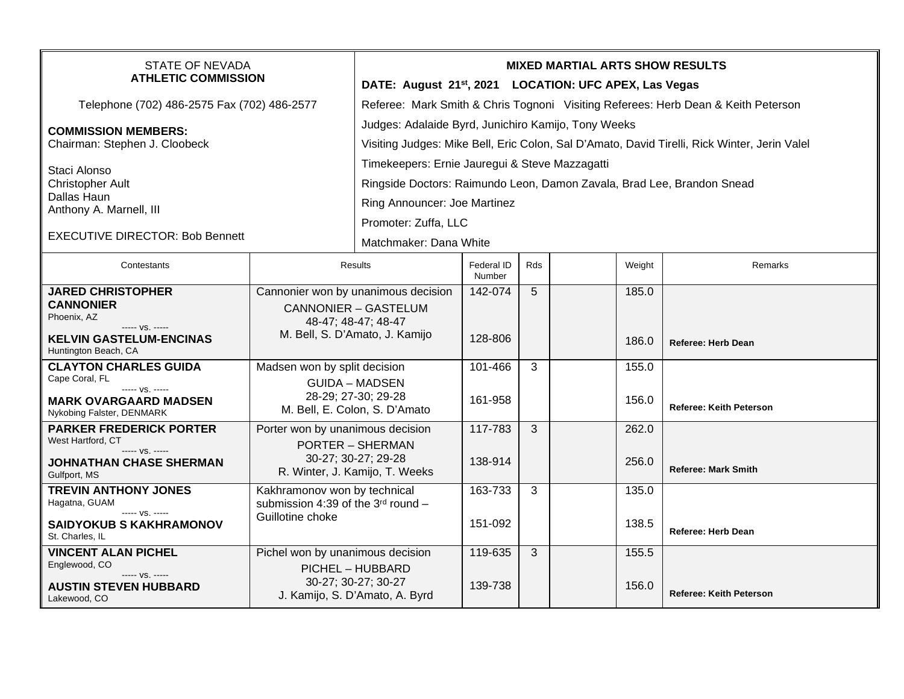| <b>STATE OF NEVADA</b><br><b>ATHLETIC COMMISSION</b>                                                                                   |                                                                                                                             | <b>MIXED MARTIAL ARTS SHOW RESULTS</b><br>DATE: August 21 <sup>st</sup> , 2021 LOCATION: UFC APEX, Las Vegas                                                                     |                      |     |  |                |                                |  |  |
|----------------------------------------------------------------------------------------------------------------------------------------|-----------------------------------------------------------------------------------------------------------------------------|----------------------------------------------------------------------------------------------------------------------------------------------------------------------------------|----------------------|-----|--|----------------|--------------------------------|--|--|
| Telephone (702) 486-2575 Fax (702) 486-2577                                                                                            |                                                                                                                             | Referee: Mark Smith & Chris Tognoni Visiting Referees: Herb Dean & Keith Peterson                                                                                                |                      |     |  |                |                                |  |  |
| <b>COMMISSION MEMBERS:</b><br>Chairman: Stephen J. Cloobeck                                                                            |                                                                                                                             | Judges: Adalaide Byrd, Junichiro Kamijo, Tony Weeks<br>Visiting Judges: Mike Bell, Eric Colon, Sal D'Amato, David Tirelli, Rick Winter, Jerin Valel                              |                      |     |  |                |                                |  |  |
| Staci Alonso<br><b>Christopher Ault</b><br>Dallas Haun<br>Anthony A. Marnell, III<br><b>EXECUTIVE DIRECTOR: Bob Bennett</b>            |                                                                                                                             | Timekeepers: Ernie Jauregui & Steve Mazzagatti<br>Ringside Doctors: Raimundo Leon, Damon Zavala, Brad Lee, Brandon Snead<br>Ring Announcer: Joe Martinez<br>Promoter: Zuffa, LLC |                      |     |  |                |                                |  |  |
|                                                                                                                                        |                                                                                                                             | Matchmaker: Dana White                                                                                                                                                           |                      |     |  |                |                                |  |  |
| Contestants                                                                                                                            | Results                                                                                                                     |                                                                                                                                                                                  | Federal ID<br>Number | Rds |  | Weight         | Remarks                        |  |  |
| <b>JARED CHRISTOPHER</b><br><b>CANNONIER</b><br>Phoenix, AZ<br>$--- VS. ---$<br><b>KELVIN GASTELUM-ENCINAS</b><br>Huntington Beach, CA | Cannonier won by unanimous decision<br><b>CANNONIER - GASTELUM</b><br>48-47; 48-47; 48-47<br>M. Bell, S. D'Amato, J. Kamijo |                                                                                                                                                                                  | 142-074<br>128-806   | 5   |  | 185.0<br>186.0 | <b>Referee: Herb Dean</b>      |  |  |
| <b>CLAYTON CHARLES GUIDA</b><br>Cape Coral, FL<br>$--- VS. ---$<br><b>MARK OVARGAARD MADSEN</b><br>Nykobing Falster, DENMARK           | Madsen won by split decision<br><b>GUIDA - MADSEN</b><br>28-29; 27-30; 29-28<br>M. Bell, E. Colon, S. D'Amato               |                                                                                                                                                                                  | 101-466<br>161-958   | 3   |  | 155.0<br>156.0 | <b>Referee: Keith Peterson</b> |  |  |
| <b>PARKER FREDERICK PORTER</b><br>West Hartford, CT<br>$--- vs. ---$<br><b>JOHNATHAN CHASE SHERMAN</b><br>Gulfport, MS                 | Porter won by unanimous decision<br><b>PORTER - SHERMAN</b><br>30-27; 30-27; 29-28<br>R. Winter, J. Kamijo, T. Weeks        |                                                                                                                                                                                  | 117-783<br>138-914   | 3   |  | 262.0<br>256.0 | <b>Referee: Mark Smith</b>     |  |  |
| <b>TREVIN ANTHONY JONES</b><br>Hagatna, GUAM<br>----- VS. -----                                                                        | Kakhramonov won by technical<br>submission 4:39 of the $3rd$ round -                                                        |                                                                                                                                                                                  | 163-733              | 3   |  | 135.0          |                                |  |  |
| <b>SAIDYOKUB S KAKHRAMONOV</b><br>St. Charles, IL                                                                                      | Guillotine choke                                                                                                            |                                                                                                                                                                                  | 151-092              |     |  | 138.5          | <b>Referee: Herb Dean</b>      |  |  |
| <b>VINCENT ALAN PICHEL</b><br>Englewood, CO<br>----- VS. -----<br><b>AUSTIN STEVEN HUBBARD</b><br>Lakewood, CO                         | Pichel won by unanimous decision<br>PICHEL - HUBBARD<br>30-27; 30-27; 30-27<br>J. Kamijo, S. D'Amato, A. Byrd               |                                                                                                                                                                                  | 119-635<br>139-738   | 3   |  | 155.5<br>156.0 | <b>Referee: Keith Peterson</b> |  |  |